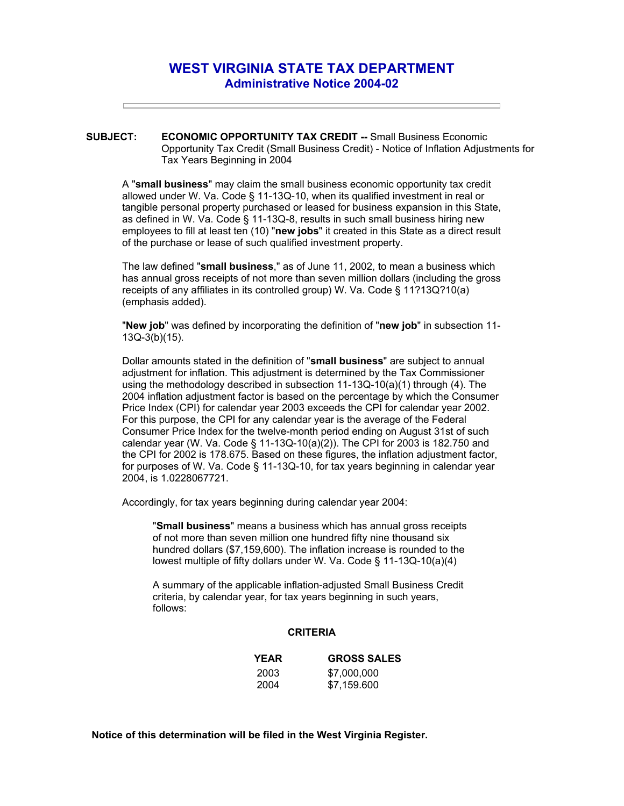## **WEST VIRGINIA STATE TAX DEPARTMENT Administrative Notice 2004-02**

**SUBJECT: ECONOMIC OPPORTUNITY TAX CREDIT --** Small Business Economic Opportunity Tax Credit (Small Business Credit) - Notice of Inflation Adjustments for Tax Years Beginning in 2004

A "**small business**" may claim the small business economic opportunity tax credit allowed under W. Va. Code § 11-13Q-10, when its qualified investment in real or tangible personal property purchased or leased for business expansion in this State, as defined in W. Va. Code § 11-13Q-8, results in such small business hiring new employees to fill at least ten (10) "**new jobs**" it created in this State as a direct result of the purchase or lease of such qualified investment property.

The law defined "**small business**," as of June 11, 2002, to mean a business which has annual gross receipts of not more than seven million dollars (including the gross receipts of any affiliates in its controlled group) W. Va. Code § 11?13Q?10(a) (emphasis added).

"**New job**" was defined by incorporating the definition of "**new job**" in subsection 11- 13Q-3(b)(15).

Dollar amounts stated in the definition of "**small business**" are subject to annual adjustment for inflation. This adjustment is determined by the Tax Commissioner using the methodology described in subsection 11-13Q-10(a)(1) through (4). The 2004 inflation adjustment factor is based on the percentage by which the Consumer Price Index (CPI) for calendar year 2003 exceeds the CPI for calendar year 2002. For this purpose, the CPI for any calendar year is the average of the Federal Consumer Price Index for the twelve-month period ending on August 31st of such calendar year (W. Va. Code § 11-13Q-10(a)(2)). The CPI for 2003 is 182.750 and the CPI for 2002 is 178.675. Based on these figures, the inflation adjustment factor, for purposes of W. Va. Code § 11-13Q-10, for tax years beginning in calendar year 2004, is 1.0228067721.

Accordingly, for tax years beginning during calendar year 2004:

"**Small business**" means a business which has annual gross receipts of not more than seven million one hundred fifty nine thousand six hundred dollars (\$7,159,600). The inflation increase is rounded to the lowest multiple of fifty dollars under W. Va. Code § 11-13Q-10(a)(4)

A summary of the applicable inflation-adjusted Small Business Credit criteria, by calendar year, for tax years beginning in such years, follows:

## **CRITERIA**

| <b>YEAR</b> | <b>GROSS SALES</b> |
|-------------|--------------------|
| 2003        | \$7,000,000        |
| 2004        | \$7,159.600        |

**Notice of this determination will be filed in the West Virginia Register.**